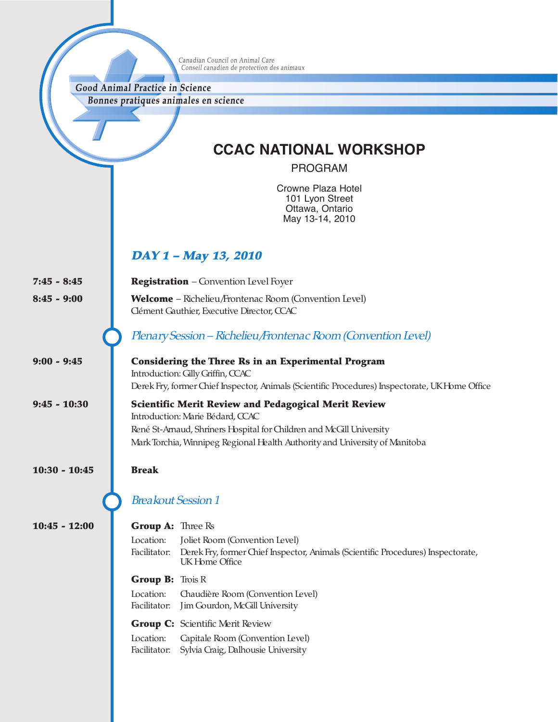Canadian Council on Animal Care<br>Conseil canadien de protection des animaux

Good Animal Practice in Science Bonnes pratiques animales en science

**CCAC NATIONAL WORKSHOP**

PROGRAM

Crowne Plaza Hotel 101 Lyon Street Ottawa, Ontario May 13-14, 2010

## **DAY <sup>1</sup> – May 13, 2010**

| $7:45 - 8:45$   | <b>Registration</b> - Convention Level Foyer                                                                                                                                                                                                                                  |  |
|-----------------|-------------------------------------------------------------------------------------------------------------------------------------------------------------------------------------------------------------------------------------------------------------------------------|--|
| $8:45 - 9:00$   | <b>Welcome</b> – Richelieu/Frontenac Room (Convention Level)<br>Clément Gauthier, Executive Director, CCAC                                                                                                                                                                    |  |
|                 | Plenary Session - Richelieu/Frontenac Room (Convention Level)                                                                                                                                                                                                                 |  |
| $9:00 - 9:45$   | <b>Considering the Three Rs in an Experimental Program</b><br>Introduction: Gilly Griffin, CCAC<br>Derek Fry, former Chief Inspector, Animals (Scientific Procedures) Inspectorate, UK Home Office                                                                            |  |
| $9:45 - 10:30$  | <b>Scientific Merit Review and Pedagogical Merit Review</b><br>Introduction: Marie Bédard, CCAC<br>René St-Arnaud, Shriners Hospital for Children and McGill University<br>Mark Torchia, Winnipeg Regional Health Authority and University of Manitoba                        |  |
| $10:30 - 10:45$ | <b>Break</b>                                                                                                                                                                                                                                                                  |  |
|                 | <b>Breakout Session 1</b>                                                                                                                                                                                                                                                     |  |
| $10:45 - 12:00$ | <b>Group A:</b> Three Rs<br>Location:<br>Joliet Room (Convention Level)<br>Facilitator:<br>Derek Fry, former Chief Inspector, Animals (Scientific Procedures) Inspectorate,<br>UK Home Office                                                                                 |  |
|                 | <b>Group B:</b> Trois R<br>Location:<br>Chaudière Room (Convention Level)<br>Facilitator:<br>Jim Gourdon, McGill University<br><b>Group C:</b> Scientific Merit Review<br>Location:<br>Capitale Room (Convention Level)<br>Sylvia Craig, Dalhousie University<br>Facilitator: |  |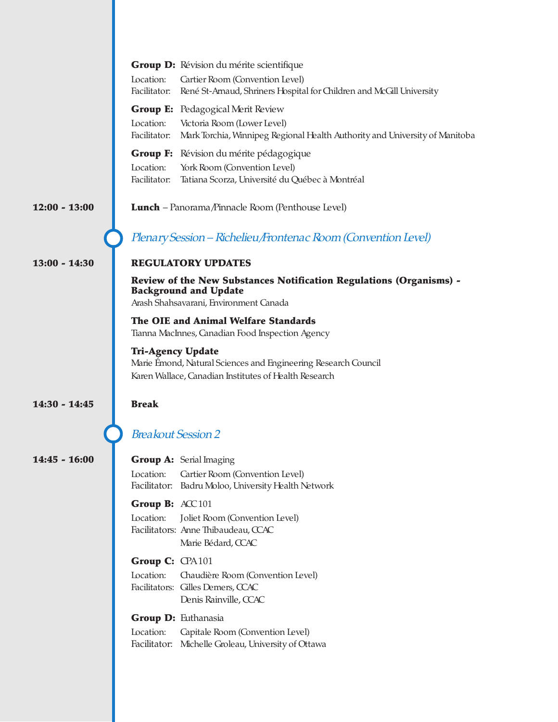|                 | Group D: Révision du mérite scientifique                                                                   |
|-----------------|------------------------------------------------------------------------------------------------------------|
|                 | Location:<br>Cartier Room (Convention Level)                                                               |
|                 | René St-Arnaud, Shriners Hospital for Children and McGill University<br>Facilitator:                       |
|                 | <b>Group E:</b> Pedagogical Merit Review                                                                   |
|                 | Location:<br>Victoria Room (Lower Level)                                                                   |
|                 | Facilitator:<br>Mark Torchia, Winnipeg Regional Health Authority and University of Manitoba                |
|                 | <b>Group F:</b> Révision du mérite pédagogique                                                             |
|                 | Location:<br>York Room (Convention Level)<br>Facilitator:                                                  |
|                 | Tatiana Scorza, Université du Québec à Montréal                                                            |
| $12:00 - 13:00$ | <b>Lunch</b> – Panorama/Pinnacle Room (Penthouse Level)                                                    |
|                 | Plenary Session - Richelieu/Frontenac Room (Convention Level)                                              |
| $13:00 - 14:30$ | <b>REGULATORY UPDATES</b>                                                                                  |
|                 | <b>Review of the New Substances Notification Regulations (Organisms) -</b><br><b>Background and Update</b> |
|                 | Arash Shahsavarani, Environment Canada                                                                     |
|                 | The OIE and Animal Welfare Standards                                                                       |
|                 | Tianna MacInnes, Canadian Food Inspection Agency                                                           |
|                 | <b>Tri-Agency Update</b>                                                                                   |
|                 | Marie Émond, Natural Sciences and Engineering Research Council                                             |
|                 | Karen Wallace, Canadian Institutes of Health Research                                                      |
| $14:30 - 14:45$ | <b>Break</b>                                                                                               |
|                 |                                                                                                            |
|                 | <b>Breakout Session 2</b>                                                                                  |
| $14:45 - 16:00$ | <b>Group A:</b> Serial Imaging                                                                             |
|                 | Location:<br>Cartier Room (Convention Level)                                                               |
|                 | Facilitator: Badru Moloo, University Health Network                                                        |
|                 | Group B: ACC101                                                                                            |
|                 | Location:<br>Joliet Room (Convention Level)                                                                |
|                 | Facilitators: Anne Thibaudeau, CCAC                                                                        |
|                 | Marie Bédard, CCAC                                                                                         |
|                 | Group C: CPA101                                                                                            |
|                 | Location:<br>Chaudière Room (Convention Level)                                                             |
|                 | Facilitators: Gilles Demers, CCAC<br>Denis Rainville, CCAC                                                 |
|                 | Group D: Euthanasia                                                                                        |
|                 | Location:<br>Capitale Room (Convention Level)                                                              |
|                 | Facilitator: Michelle Groleau, University of Ottawa                                                        |
|                 |                                                                                                            |
|                 |                                                                                                            |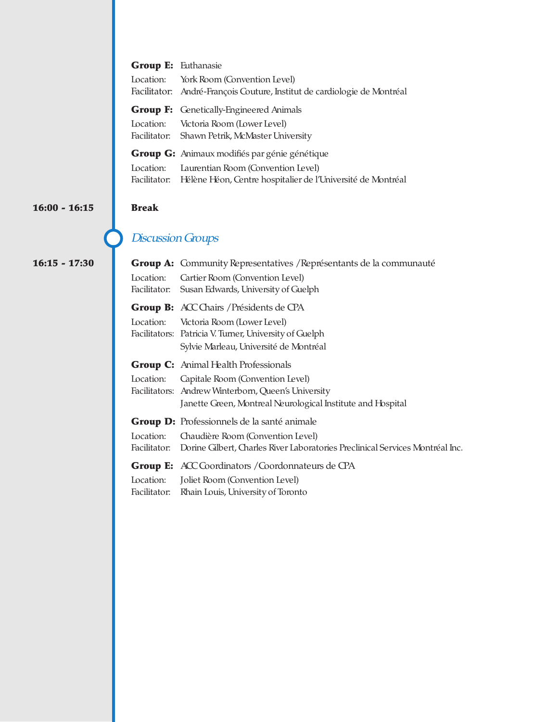|                                                      | <b>Group E: Euthanasie</b> |                                                                                                          |  |
|------------------------------------------------------|----------------------------|----------------------------------------------------------------------------------------------------------|--|
|                                                      | Location:                  | York Room (Convention Level)<br>Facilitator: André-François Couture, Institut de cardiologie de Montréal |  |
|                                                      |                            | <b>Group F:</b> Genetically-Engineered Animals                                                           |  |
|                                                      |                            | Location: Victoria Room (Lower Level)<br>Facilitator: Shawn Petrik, McMaster University                  |  |
| <b>Group G:</b> Animaux modifiés par génie génétique |                            |                                                                                                          |  |
|                                                      | Location:                  | Laurentian Room (Convention Level)                                                                       |  |
|                                                      |                            | Facilitator: Hélène Héon, Centre hospitalier de l'Université de Montréal                                 |  |

#### **16:00 - 16:15 Break**

**16:15 - 17:30** 

# Discussion Groups

|                           | <b>Group A:</b> Community Representatives / Représentants de la communauté                                                                                                                            |  |
|---------------------------|-------------------------------------------------------------------------------------------------------------------------------------------------------------------------------------------------------|--|
| Location:<br>Facilitator: | Cartier Room (Convention Level)<br>Susan Edwards, University of Guelph                                                                                                                                |  |
|                           | <b>Group B:</b> ACC Chairs / Présidents de CPA<br>Location: Victoria Room (Lower Level)<br>Facilitators: Patricia V. Turner, University of Guelph<br>Sylvie Marleau, Université de Montréal           |  |
| Location:                 | <b>Group C:</b> Animal Health Professionals<br>Capitale Room (Convention Level)<br>Facilitators: Andrew Winterborn, Queen's University<br>Janette Green, Montreal Neurological Institute and Hospital |  |
| Location:                 | <b>Group D:</b> Professionnels de la santé animale<br>Chaudière Room (Convention Level)<br>Facilitator: Dorine Gilbert, Charles River Laboratories Preclinical Services Montréal Inc.                 |  |
|                           | <b>Group E:</b> ACC Coordinators / Coordonnateurs de CPA<br>Location: Joliet Room (Convention Level)<br>Facilitator: Rhain Louis, University of Toronto                                               |  |
|                           |                                                                                                                                                                                                       |  |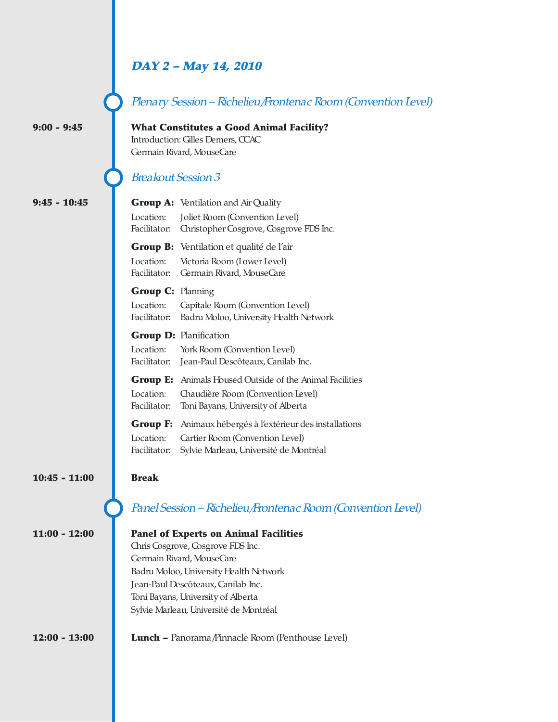### **DAY <sup>2</sup> – May 14, 2010**

Plenary Session - Richelieu/Frontenac Room (Convention Level)

**9:00 - 9:45 What Constitutes a Good Animal Facility?** Introduction: Gilles Demers, CCAC Germain Rivard, MouseCare

### Breakout Session 3

 $9:45 - 10:45$ 

|                                       | <b>Group A:</b> Ventilation and Air Quality                                                                                                |  |
|---------------------------------------|--------------------------------------------------------------------------------------------------------------------------------------------|--|
| Location:                             | Joliet Room (Convention Level)<br>Facilitator: Christopher Cosgrove, Cosgrove FDS Inc.                                                     |  |
| Location:<br>Facilitator:             | <b>Group B:</b> Ventilation et qualité de l'air<br>Victoria Room (Lower Level)<br>Germain Rivard, MouseCare                                |  |
| <b>Group C: Planning</b><br>Location: | Capitale Room (Convention Level)<br>Facilitator: Badru Moloo, University Health Network                                                    |  |
| Location:                             | <b>Group D: Planification</b><br>York Room (Convention Level)<br>Facilitator: Jean-Paul Descôteaux, Canilab Inc.                           |  |
| Location:<br>Facilitator:             | <b>Group E:</b> Animals Housed Outside of the Animal Facilities<br>Chaudière Room (Convention Level)<br>Toni Bayans, University of Alberta |  |
|                                       | <b>Group F:</b> Animaux hébergés à l'extérieur des installations                                                                           |  |

Location: Cartier Room (Convention Level) Facilitator: Sylvie Marleau, Université de Montréal

#### **10:45 - 11:00 Break**

| $11:00 - 12:00$ | <b>Panel of Experts on Animal Facilities</b> |
|-----------------|----------------------------------------------|
|                 | Chris Cosgrove, Cosgrove FDS Inc.            |
|                 | Germain Rivard, MouseCare                    |
|                 | Badru Moloo, University Health Network       |
|                 | Jean-Paul Descôteaux, Canilab Inc.           |
|                 | Toni Bayans, University of Alberta           |
|                 | Sylvie Marleau, Université de Montréal       |
|                 |                                              |

Panel Session – Richelieu/Frontenac Room (Convention Level)

**12:00 - 13:00 Lunch –** Panorama/Pinnacle Room (Penthouse Level)